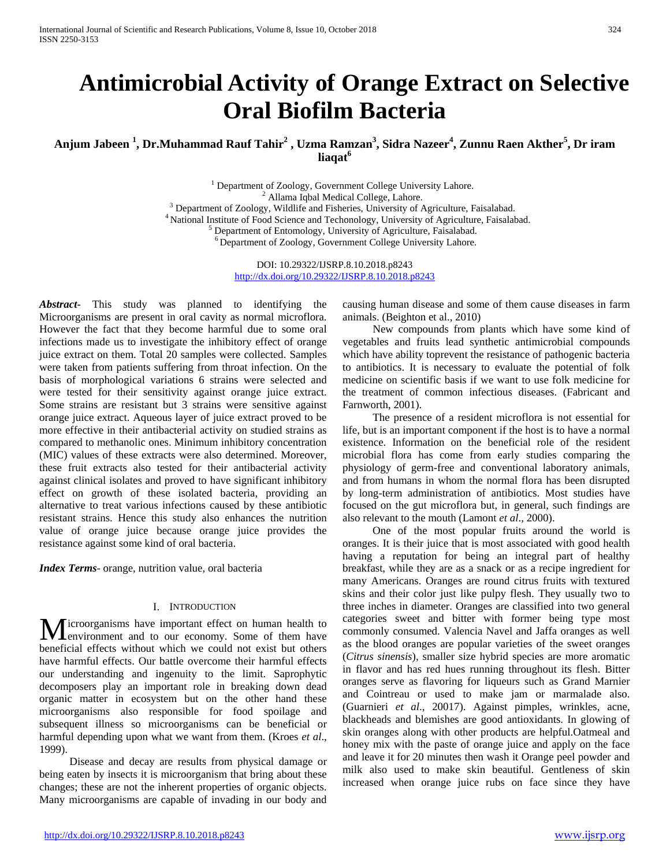# **Antimicrobial Activity of Orange Extract on Selective Oral Biofilm Bacteria**

**Anjum Jabeen <sup>1</sup> , Dr.Muhammad Rauf Tahir<sup>2</sup> , Uzma Ramzan<sup>3</sup> , Sidra Nazeer4 , Zunnu Raen Akther<sup>5</sup> , Dr iram liaqat6**

> <sup>1</sup> Department of Zoology, Government College University Lahore. <sup>2</sup> Allama Iqbal Medical College, Lahore. <sup>3</sup> Department of Zoology, Wildlife and Fisheries, University of Agriculture, Faisalabad. 4 National Institute of Food Science and Techonology, University of Agriculture, Faisalabad.  $<sup>5</sup>$  Department of Entomology, University of Agriculture, Faisalabad.</sup> 6 Department of Zoology, Government College University Lahore.

> > DOI: 10.29322/IJSRP.8.10.2018.p8243 <http://dx.doi.org/10.29322/IJSRP.8.10.2018.p8243>

*Abstract***-** This study was planned to identifying the Microorganisms are present in oral cavity as normal microflora. However the fact that they become harmful due to some oral infections made us to investigate the inhibitory effect of orange juice extract on them. Total 20 samples were collected. Samples were taken from patients suffering from throat infection. On the basis of morphological variations 6 strains were selected and were tested for their sensitivity against orange juice extract. Some strains are resistant but 3 strains were sensitive against orange juice extract. Aqueous layer of juice extract proved to be more effective in their antibacterial activity on studied strains as compared to methanolic ones. Minimum inhibitory concentration (MIC) values of these extracts were also determined. Moreover, these fruit extracts also tested for their antibacterial activity against clinical isolates and proved to have significant inhibitory effect on growth of these isolated bacteria, providing an alternative to treat various infections caused by these antibiotic resistant strains. Hence this study also enhances the nutrition value of orange juice because orange juice provides the resistance against some kind of oral bacteria.

*Index Terms*- orange, nutrition value, oral bacteria

#### I. INTRODUCTION

icroorganisms have important effect on human health to **Lenvironment** and to our economy. Some of them have **M** icroorganisms have important effect on human health to environment and to our economy. Some of them have beneficial effects without which we could not exist but others have harmful effects. Our battle overcome their harmful effects our understanding and ingenuity to the limit. Saprophytic decomposers play an important role in breaking down dead organic matter in ecosystem but on the other hand these microorganisms also responsible for food spoilage and subsequent illness so microorganisms can be beneficial or harmful depending upon what we want from them. (Kroes *et al*., 1999).

 Disease and decay are results from physical damage or being eaten by insects it is microorganism that bring about these changes; these are not the inherent properties of organic objects. Many microorganisms are capable of invading in our body and

causing human disease and some of them cause diseases in farm animals. (Beighton et al., 2010)

 New compounds from plants which have some kind of vegetables and fruits lead synthetic antimicrobial compounds which have ability toprevent the resistance of pathogenic bacteria to antibiotics. It is necessary to evaluate the potential of folk medicine on scientific basis if we want to use folk medicine for the treatment of common infectious diseases. (Fabricant and Farnworth, 2001).

 The presence of a resident microflora is not essential for life, but is an important component if the host is to have a normal existence. Information on the beneficial role of the resident microbial flora has come from early studies comparing the physiology of germ-free and conventional laboratory animals, and from humans in whom the normal flora has been disrupted by long-term administration of antibiotics. Most studies have focused on the gut microflora but, in general, such findings are also relevant to the mouth (Lamont *et al*., 2000).

 One of the most popular fruits around the world is oranges. It is their juice that is most associated with good health having a reputation for being an integral part of healthy breakfast, while they are as a snack or as a recipe ingredient for many Americans. Oranges are round citrus fruits with textured skins and their color just like pulpy flesh. They usually two to three inches in diameter. Oranges are classified into two general categories sweet and bitter with former being type most commonly consumed. Valencia Navel and Jaffa oranges as well as the blood oranges are popular varieties of the sweet oranges (*Citrus sinensis*), smaller size hybrid species are more aromatic in flavor and has red hues running throughout its flesh. Bitter oranges serve as flavoring for liqueurs such as Grand Marnier and Cointreau or used to make jam or marmalade also. (Guarnieri *et al*., 20017). Against pimples, wrinkles, acne, blackheads and blemishes are good antioxidants. In glowing of skin oranges along with other products are helpful.Oatmeal and honey mix with the paste of orange juice and apply on the face and leave it for 20 minutes then wash it Orange peel powder and milk also used to make skin beautiful. Gentleness of skin increased when orange juice rubs on face since they have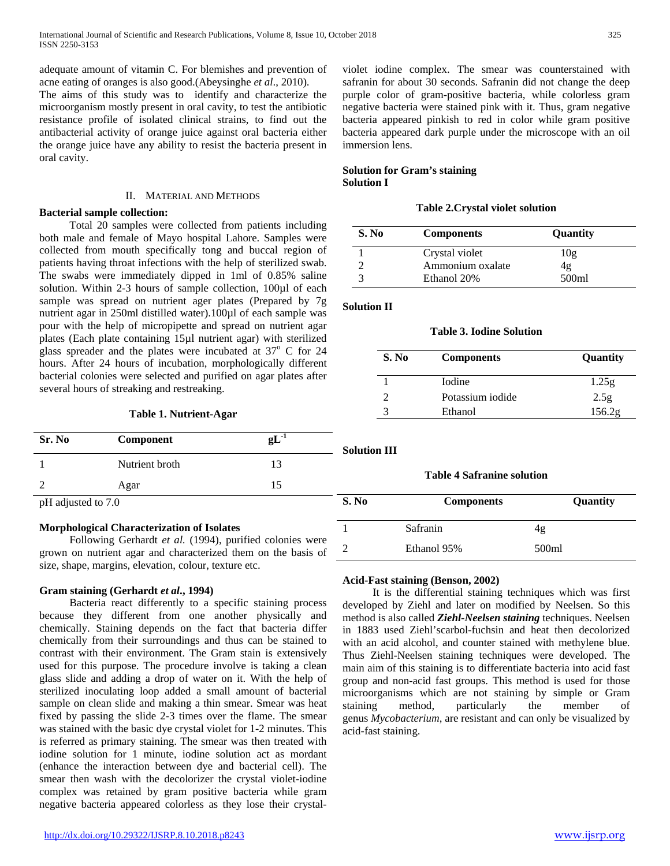adequate amount of vitamin C. For blemishes and prevention of acne eating of oranges is also good.(Abeysinghe *et al*., 2010).

The aims of this study was to identify and characterize the microorganism mostly present in oral cavity, to test the antibiotic resistance profile of isolated clinical strains, to find out the antibacterial activity of orange juice against oral bacteria either the orange juice have any ability to resist the bacteria present in oral cavity.

#### II. MATERIAL AND METHODS

### **Bacterial sample collection:**

 Total 20 samples were collected from patients including both male and female of Mayo hospital Lahore. Samples were collected from mouth specifically tong and buccal region of patients having throat infections with the help of sterilized swab. The swabs were immediately dipped in 1ml of 0.85% saline solution. Within 2-3 hours of sample collection, 100µl of each sample was spread on nutrient ager plates (Prepared by 7g nutrient agar in 250ml distilled water).100µl of each sample was pour with the help of micropipette and spread on nutrient agar plates (Each plate containing 15µl nutrient agar) with sterilized glass spreader and the plates were incubated at  $37^{\circ}$  C for 24 hours. After 24 hours of incubation, morphologically different bacterial colonies were selected and purified on agar plates after several hours of streaking and restreaking.

**Table 1. Nutrient-Agar**

| Sr. No             | Component      | $gL-1$ | <b>Solution III</b> |                |
|--------------------|----------------|--------|---------------------|----------------|
|                    | Nutrient broth | 13     |                     |                |
|                    | Agar           | 15     |                     | <b>Table 4</b> |
| pH adjusted to 7.0 |                |        | S. No               | Col            |

## **Morphological Characterization of Isolates**

Following Gerhardt et al. (1994), purified colonies were grown on nutrient agar and characterized them on the basis of size, shape, margins, elevation, colour, texture etc.

## **Gram staining (Gerhardt** *et al***., 1994)**

 Bacteria react differently to a specific staining process because they different from one another physically and chemically. Staining depends on the fact that bacteria differ chemically from their surroundings and thus can be stained to contrast with their environment. The Gram stain is extensively used for this purpose. The procedure involve is taking a clean glass slide and adding a drop of water on it. With the help of sterilized inoculating loop added a small amount of bacterial sample on clean slide and making a thin smear. Smear was heat fixed by passing the slide 2-3 times over the flame. The smear was stained with the basic dye crystal violet for 1-2 minutes. This is referred as primary staining. The smear was then treated with iodine solution for 1 minute, iodine solution act as mordant (enhance the interaction between dye and bacterial cell). The smear then wash with the decolorizer the crystal violet-iodine complex was retained by gram positive bacteria while gram negative bacteria appeared colorless as they lose their crystalviolet iodine complex. The smear was counterstained with safranin for about 30 seconds. Safranin did not change the deep purple color of gram-positive bacteria, while colorless gram negative bacteria were stained pink with it. Thus, gram negative bacteria appeared pinkish to red in color while gram positive bacteria appeared dark purple under the microscope with an oil immersion lens.

## **Solution for Gram's staining Solution I**

## **Table 2.Crystal violet solution**

| S. No | <b>Components</b> | Quantity |
|-------|-------------------|----------|
|       | Crystal violet    | 10g      |
|       | Ammonium oxalate  | 4g       |
|       | Ethanol 20%       | 500ml    |

## **Solution II**

## **Table 3. Iodine Solution**

| S. No | <b>Components</b> | Quantity |
|-------|-------------------|----------|
|       | <b>I</b> odine    | 1.25g    |
|       | Potassium iodide  | 2.5g     |
|       | Ethanol           | 156.2g   |

| <b>Table 4 Safranine solution</b> |                   |          |  |  |  |  |
|-----------------------------------|-------------------|----------|--|--|--|--|
| S. No                             | <b>Components</b> | Quantity |  |  |  |  |
|                                   | Safranin          | 4g       |  |  |  |  |
|                                   | Ethanol 95%       | 500ml    |  |  |  |  |

## **Acid-Fast staining (Benson, 2002)**

 It is the differential staining techniques which was first developed by Ziehl and later on modified by Neelsen. So this method is also called *Ziehl-Neelsen staining* techniques. Neelsen in 1883 used Ziehl'scarbol-fuchsin and heat then decolorized with an acid alcohol, and counter stained with methylene blue. Thus Ziehl-Neelsen staining techniques were developed. The main aim of this staining is to differentiate bacteria into acid fast group and non-acid fast groups. This method is used for those microorganisms which are not staining by simple or Gram staining method, particularly the member of genus *Mycobacterium*, are resistant and can only be visualized by acid-fast staining.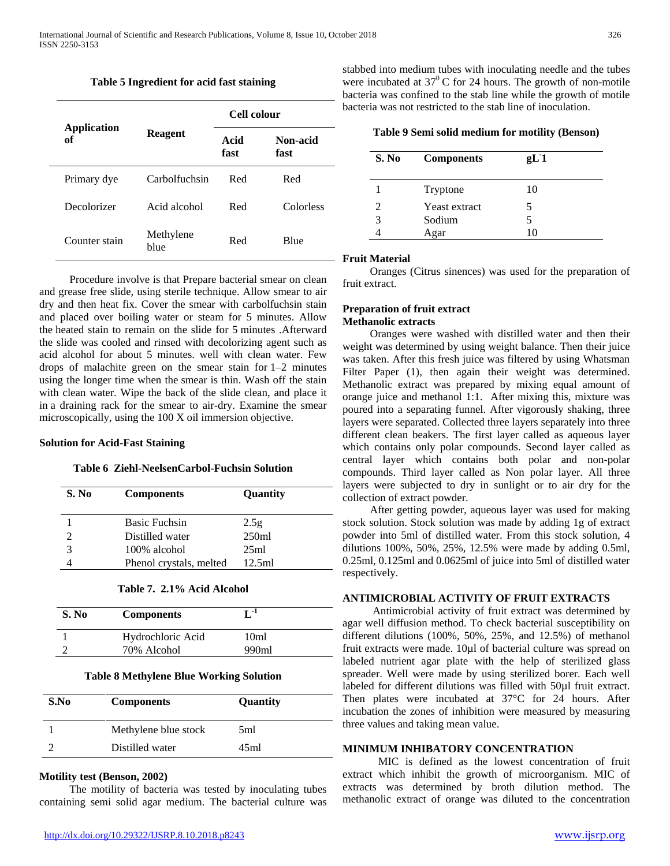#### **Table 5 Ingredient for acid fast staining**

|                          |                   | Cell colour  |                  |
|--------------------------|-------------------|--------------|------------------|
| <b>Application</b><br>of | <b>Reagent</b>    | Acid<br>fast | Non-acid<br>fast |
| Primary dye              | Carbolfuchsin     | Red          | Red              |
| Decolorizer              | Acid alcohol      | Red          | Colorless        |
| Counter stain            | Methylene<br>blue | Red          | Blue             |

 Procedure involve is that Prepare bacterial smear on clean and grease free slide, using sterile technique. Allow smear to air dry and then heat fix. Cover the smear with carbolfuchsin stain and placed over boiling water or steam for 5 minutes. Allow the heated stain to remain on the slide for 5 minutes .Afterward the slide was cooled and rinsed with decolorizing agent such as acid alcohol for about 5 minutes. well with clean water. Few drops of malachite green on the smear stain for 1–2 minutes using the longer time when the smear is thin. Wash off the stain with clean water. Wipe the back of the slide clean, and place it in a draining rack for the smear to air-dry. Examine the smear microscopically, using the 100 X oil immersion objective.

#### **Solution for Acid-Fast Staining**

#### **Table 6 Ziehl-NeelsenCarbol-Fuchsin Solution**

| S. No         | <b>Components</b>       | Quantity |
|---------------|-------------------------|----------|
|               | <b>Basic Fuchsin</b>    | 2.5g     |
|               | Distilled water         | 250ml    |
| $\mathcal{R}$ | 100% alcohol            | 25ml     |
|               | Phenol crystals, melted | 12.5ml   |

#### **Table 7. 2.1% Acid Alcohol**

| S. No | <b>Components</b> | r -1  |
|-------|-------------------|-------|
|       | Hydrochloric Acid | 10ml  |
|       | 70% Alcohol       | 990ml |

#### **Table 8 Methylene Blue Working Solution**

| S.No | <b>Components</b>    | Quantity |
|------|----------------------|----------|
|      | Methylene blue stock | 5ml      |
|      | Distilled water      | 45ml     |

## **Motility test (Benson, 2002)**

 The motility of bacteria was tested by inoculating tubes containing semi solid agar medium. The bacterial culture was stabbed into medium tubes with inoculating needle and the tubes were incubated at  $37^{\circ}$  C for 24 hours. The growth of non-motile bacteria was confined to the stab line while the growth of motile bacteria was not restricted to the stab line of inoculation.

|  |  |  | Table 9 Semi solid medium for motility (Benson) |  |  |  |
|--|--|--|-------------------------------------------------|--|--|--|
|--|--|--|-------------------------------------------------|--|--|--|

| S. No | <b>Components</b> | gL1 |  |
|-------|-------------------|-----|--|
|       | Tryptone          | 10  |  |
|       | Yeast extract     |     |  |
| 3     | Sodium            |     |  |
|       | Agar              | 10  |  |

## **Fruit Material**

 Oranges (Citrus sinences) was used for the preparation of fruit extract.

## **Preparation of fruit extract Methanolic extracts**

 Oranges were washed with distilled water and then their weight was determined by using weight balance. Then their juice was taken. After this fresh juice was filtered by using Whatsman Filter Paper (1), then again their weight was determined. Methanolic extract was prepared by mixing equal amount of orange juice and methanol 1:1. After mixing this, mixture was poured into a separating funnel. After vigorously shaking, three layers were separated. Collected three layers separately into three different clean beakers. The first layer called as aqueous layer which contains only polar compounds. Second layer called as central layer which contains both polar and non-polar compounds. Third layer called as Non polar layer. All three layers were subjected to dry in sunlight or to air dry for the collection of extract powder.

 After getting powder, aqueous layer was used for making stock solution. Stock solution was made by adding 1g of extract powder into 5ml of distilled water. From this stock solution, 4 dilutions 100%, 50%, 25%, 12.5% were made by adding 0.5ml, 0.25ml, 0.125ml and 0.0625ml of juice into 5ml of distilled water respectively.

## **ANTIMICROBIAL ACTIVITY OF FRUIT EXTRACTS**

 Antimicrobial activity of fruit extract was determined by agar well diffusion method. To check bacterial susceptibility on different dilutions (100%, 50%, 25%, and 12.5%) of methanol fruit extracts were made. 10µl of bacterial culture was spread on labeled nutrient agar plate with the help of sterilized glass spreader. Well were made by using sterilized borer. Each well labeled for different dilutions was filled with 50µl fruit extract. Then plates were incubated at 37°C for 24 hours. After incubation the zones of inhibition were measured by measuring three values and taking mean value.

## **MINIMUM INHIBATORY CONCENTRATION**

 MIC is defined as the lowest concentration of fruit extract which inhibit the growth of microorganism. MIC of extracts was determined by broth dilution method. The methanolic extract of orange was diluted to the concentration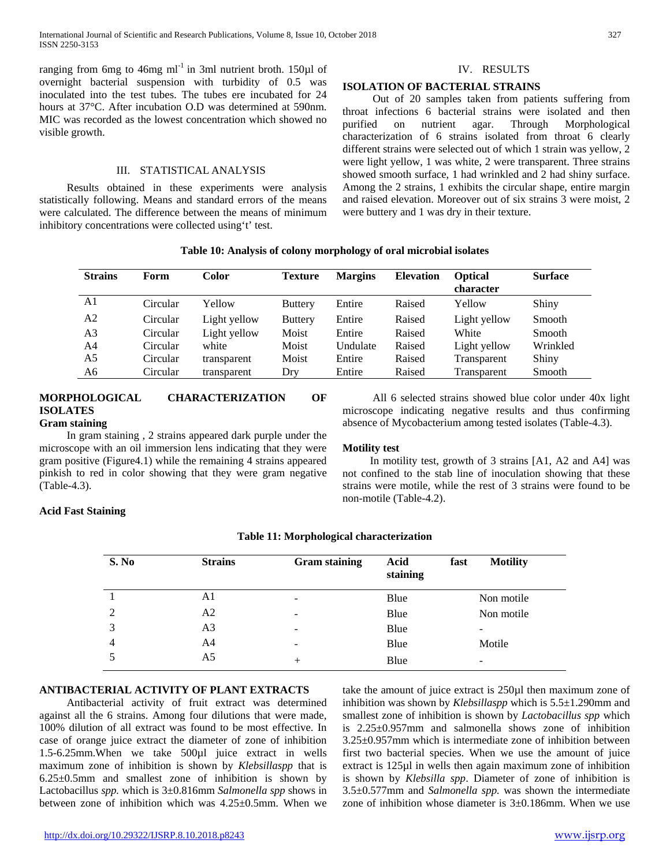ranging from 6mg to 46mg  $ml^{-1}$  in 3ml nutrient broth. 150 $\mu$ l of overnight bacterial suspension with turbidity of 0.5 was inoculated into the test tubes. The tubes ere incubated for 24 hours at 37°C. After incubation O.D was determined at 590nm. MIC was recorded as the lowest concentration which showed no visible growth.

#### III. STATISTICAL ANALYSIS

 Results obtained in these experiments were analysis statistically following. Means and standard errors of the means were calculated. The difference between the means of minimum inhibitory concentrations were collected using't' test.

## IV. RESULTS

### **ISOLATION OF BACTERIAL STRAINS**

 Out of 20 samples taken from patients suffering from throat infections 6 bacterial strains were isolated and then purified on nutrient agar. Through Morphological characterization of 6 strains isolated from throat 6 clearly different strains were selected out of which 1 strain was yellow, 2 were light yellow, 1 was white, 2 were transparent. Three strains showed smooth surface, 1 had wrinkled and 2 had shiny surface. Among the 2 strains, 1 exhibits the circular shape, entire margin and raised elevation. Moreover out of six strains 3 were moist, 2 were buttery and 1 was dry in their texture.

|  |  | Table 10: Analysis of colony morphology of oral microbial isolates |
|--|--|--------------------------------------------------------------------|
|  |  |                                                                    |

| <b>Strains</b> | Form     | Color        | <b>Texture</b> | <b>Margins</b> | <b>Elevation</b> | <b>Optical</b><br>character | <b>Surface</b> |
|----------------|----------|--------------|----------------|----------------|------------------|-----------------------------|----------------|
| A1             | Circular | Yellow       | <b>Buttery</b> | Entire         | Raised           | Yellow                      | Shiny          |
| A2             | Circular | Light yellow | <b>Buttery</b> | Entire         | Raised           | Light yellow                | Smooth         |
| A3             | Circular | Light yellow | Moist          | Entire         | Raised           | White                       | Smooth         |
| A4             | Circular | white        | Moist          | Undulate       | Raised           | Light yellow                | Wrinkled       |
| A5             | Circular | transparent  | Moist          | Entire         | Raised           | Transparent                 | Shiny          |
| A6             | Circular | transparent  | Dry            | Entire         | Raised           | Transparent                 | Smooth         |

#### **MORPHOLOGICAL CHARACTERIZATION OF ISOLATES Gram staining**

 In gram staining , 2 strains appeared dark purple under the microscope with an oil immersion lens indicating that they were gram positive (Figure4.1) while the remaining 4 strains appeared pinkish to red in color showing that they were gram negative (Table-4.3).

## **Motility test**

 In motility test, growth of 3 strains [A1, A2 and A4] was not confined to the stab line of inoculation showing that these strains were motile, while the rest of 3 strains were found to be non-motile (Table-4.2).

 All 6 selected strains showed blue color under 40x light microscope indicating negative results and thus confirming absence of Mycobacterium among tested isolates (Table-4.3).

## **Acid Fast Staining**

| S. No          | <b>Strains</b> | <b>Gram staining</b> | Acid<br>fast<br>staining | <b>Motility</b> |
|----------------|----------------|----------------------|--------------------------|-----------------|
|                | A1             | -                    | Blue                     | Non motile      |
| 2              | A <sub>2</sub> | -                    | Blue                     | Non motile      |
| 3              | A <sub>3</sub> | ۰                    | Blue                     |                 |
| $\overline{4}$ | A <sub>4</sub> | -                    | Blue                     | Motile          |
| 5              | A5             | $\overline{+}$       | Blue                     | -               |

## **Table 11: Morphological characterization**

### **ANTIBACTERIAL ACTIVITY OF PLANT EXTRACTS**

 Antibacterial activity of fruit extract was determined against all the 6 strains. Among four dilutions that were made, 100% dilution of all extract was found to be most effective. In case of orange juice extract the diameter of zone of inhibition 1.5-6.25mm.When we take 500µl juice extract in wells maximum zone of inhibition is shown by *Klebsillaspp* that is 6.25±0.5mm and smallest zone of inhibition is shown by Lactobacillus *spp.* which is 3±0.816mm *Salmonella spp* shows in between zone of inhibition which was 4.25±0.5mm. When we

take the amount of juice extract is 250µl then maximum zone of inhibition was shown by *Klebsillaspp* which is 5.5±1.290mm and smallest zone of inhibition is shown by *Lactobacillus spp* which is 2.25±0.957mm and salmonella shows zone of inhibition 3.25±0.957mm which is intermediate zone of inhibition between first two bacterial species. When we use the amount of juice extract is 125µl in wells then again maximum zone of inhibition is shown by *Klebsilla spp*. Diameter of zone of inhibition is 3.5±0.577mm and *Salmonella spp.* was shown the intermediate zone of inhibition whose diameter is 3±0.186mm. When we use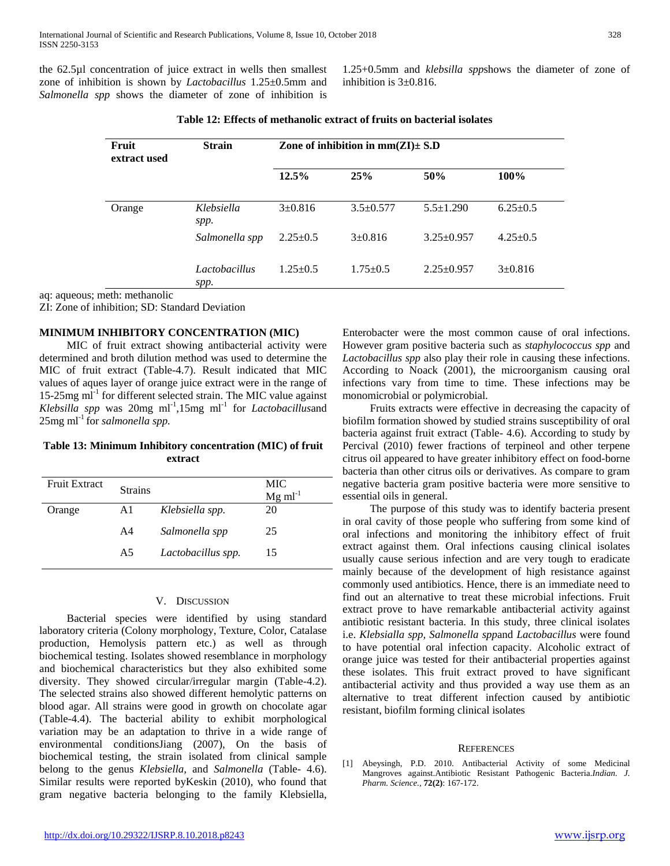the 62.5µl concentration of juice extract in wells then smallest zone of inhibition is shown by *Lactobacillus* 1.25±0.5mm and *Salmonella spp* shows the diameter of zone of inhibition is

1.25+0.5mm and *klebsilla spp*shows the diameter of zone of inhibition is 3±0.816.

| Fruit<br>extract used | <b>Strain</b>         | Zone of inhibition in $mm(ZI) \pm S.D$ |                 |                  |                |
|-----------------------|-----------------------|----------------------------------------|-----------------|------------------|----------------|
|                       |                       | 12.5%                                  | 25%             | 50%              | 100%           |
| Orange                | Klebsiella<br>spp.    | $3 \pm 0.816$                          | $3.5 \pm 0.577$ | $5.5 \pm 1.290$  | $6.25 \pm 0.5$ |
|                       | Salmonella spp        | $2.25 \pm 0.5$                         | $3 \pm 0.816$   | $3.25 \pm 0.957$ | $4.25 \pm 0.5$ |
|                       | Lactobacillus<br>spp. | $1.25 \pm 0.5$                         | $1.75 \pm 0.5$  | $2.25 \pm 0.957$ | $3 \pm 0.816$  |

**Table 12: Effects of methanolic extract of fruits on bacterial isolates**

aq: aqueous; meth: methanolic

ZI: Zone of inhibition; SD: Standard Deviation

#### **MINIMUM INHIBITORY CONCENTRATION (MIC)**

 MIC of fruit extract showing antibacterial activity were determined and broth dilution method was used to determine the MIC of fruit extract (Table-4.7). Result indicated that MIC values of aques layer of orange juice extract were in the range of 15-25 $mg$  ml<sup>-1</sup> for different selected strain. The MIC value against *Klebsilla spp* was 20mg ml-1 ,15mg ml-1 for *Lactobacillus*and  $25mg$  ml<sup>-1</sup> for *salmonella spp*.

## **Table 13: Minimum Inhibitory concentration (MIC) of fruit extract**

| Fruit Extract | <b>Strains</b> |                    | MIC<br>$Mg$ ml <sup>-1</sup> |
|---------------|----------------|--------------------|------------------------------|
| Orange        | A1             | Klebsiella spp.    | 20                           |
|               | A4             | Salmonella spp     | 25                           |
|               | A5             | Lactobacillus spp. | 15                           |

#### V. DISCUSSION

 Bacterial species were identified by using standard laboratory criteria (Colony morphology, Texture, Color, Catalase production, Hemolysis pattern etc.) as well as through biochemical testing. Isolates showed resemblance in morphology and biochemical characteristics but they also exhibited some diversity. They showed circular/irregular margin (Table-4.2). The selected strains also showed different hemolytic patterns on blood agar. All strains were good in growth on chocolate agar (Table-4.4). The bacterial ability to exhibit morphological variation may be an adaptation to thrive in a wide range of environmental conditionsJiang (2007), On the basis of biochemical testing, the strain isolated from clinical sample belong to the genus *Klebsiella,* and *Salmonella* (Table- 4.6). Similar results were reported byKeskin (2010), who found that gram negative bacteria belonging to the family Klebsiella, Enterobacter were the most common cause of oral infections. However gram positive bacteria such as *staphylococcus spp* and *Lactobacillus spp* also play their role in causing these infections. According to Noack (2001), the microorganism causing oral infections vary from time to time. These infections may be monomicrobial or polymicrobial.

 Fruits extracts were effective in decreasing the capacity of biofilm formation showed by studied strains susceptibility of oral bacteria against fruit extract (Table- 4.6). According to study by Percival (2010) fewer fractions of terpineol and other terpene citrus oil appeared to have greater inhibitory effect on food-borne bacteria than other citrus oils or derivatives. As compare to gram negative bacteria gram positive bacteria were more sensitive to essential oils in general.

 The purpose of this study was to identify bacteria present in oral cavity of those people who suffering from some kind of oral infections and monitoring the inhibitory effect of fruit extract against them. Oral infections causing clinical isolates usually cause serious infection and are very tough to eradicate mainly because of the development of high resistance against commonly used antibiotics. Hence, there is an immediate need to find out an alternative to treat these microbial infections. Fruit extract prove to have remarkable antibacterial activity against antibiotic resistant bacteria. In this study, three clinical isolates i.e. *Klebsialla spp, Salmonella spp*and *Lactobacillus* were found to have potential oral infection capacity. Alcoholic extract of orange juice was tested for their antibacterial properties against these isolates. This fruit extract proved to have significant antibacterial activity and thus provided a way use them as an alternative to treat different infection caused by antibiotic resistant, biofilm forming clinical isolates

#### **REFERENCES**

[1] Abeysingh, P.D. 2010. Antibacterial Activity of some Medicinal Mangroves against.Antibiotic Resistant Pathogenic Bacteria.*Indian. J. Pharm. Science.,* **72(2)**: 167-172.